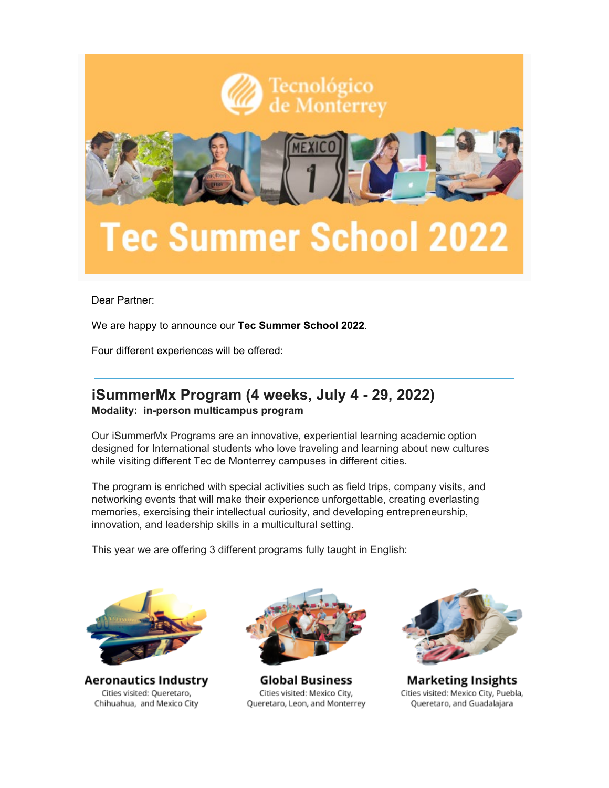

Dear Partner:

We are happy to announce our **Tec Summer School 2022**.

Four different experiences will be offered:

#### **iSummerMx Program (4 weeks, July 4 - 29, 2022) Modality: in-person multicampus program**

Our iSummerMx Programs are an innovative, experiential learning academic option designed for International students who love traveling and learning about new cultures while visiting different Tec de Monterrey campuses in different cities.

The program is enriched with special activities such as field trips, company visits, and networking events that will make their experience unforgettable, creating everlasting memories, exercising their intellectual curiosity, and developing entrepreneurship, innovation, and leadership skills in a multicultural setting.

This year we are offering 3 different programs fully taught in English:



**Aeronautics Industry** Cities visited: Queretaro, Chihuahua, and Mexico City



**Global Business** Cities visited: Mexico City, Queretaro, Leon, and Monterrey



**Marketing Insights** Cities visited: Mexico City, Puebla, Queretaro, and Guadalajara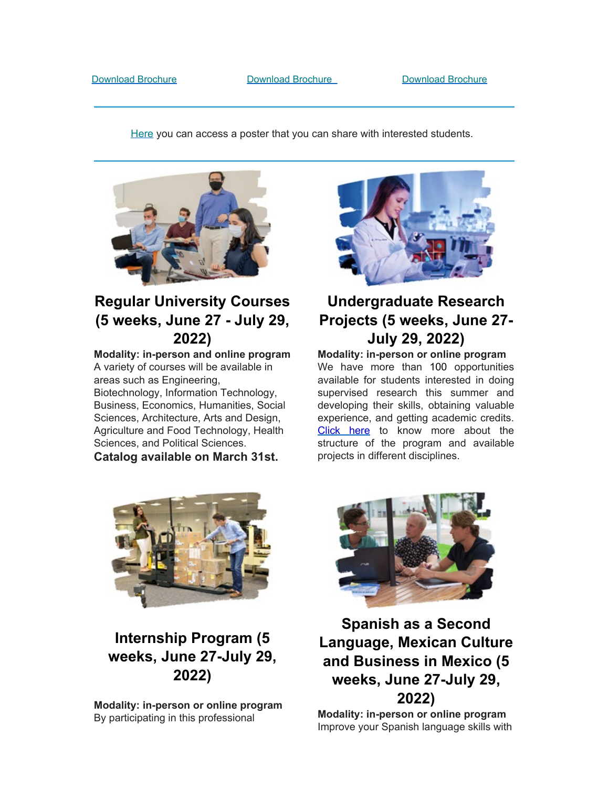[Here](https://drive.google.com/file/d/1ek1_XvKANRR0R794k-gZiNQAQ7fsXdw8/view) you can access a poster that you can share with interested students.



## **Regular University Courses (5 weeks, June 27 - July 29, 2022)**

**Modality: in-person and online program** A variety of courses will be available in areas such as Engineering, Biotechnology, Information Technology, Business, Economics, Humanities, Social Sciences, Architecture, Arts and Design, Agriculture and Food Technology, Health Sciences, and Political Sciences.

**Catalog available on March 31st.**



# **Undergraduate Research Projects (5 weeks, June 27- July 29, 2022)**

**Modality: in-person or online program** We have more than 100 opportunities available for students interested in doing supervised research this summer and developing their skills, obtaining valuable experience, and getting academic credits. [Click here](https://drive.google.com/file/d/1HjGPktAPaXCziSYipz3dlh4zlQAKOKFl/view) to know more about the structure of the program and available projects in different disciplines.



# **Internship Program (5 weeks, June 27-July 29, 2022)**

**Modality: in-person or online program** By participating in this professional



## **Spanish as a Second Language, Mexican Culture and Business in Mexico (5 weeks, June 27-July 29, 2022)**

**Modality: in-person or online program** Improve your Spanish language skills with